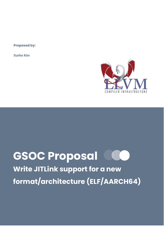**Proposed by:**

**Sunho Kim**



# **GSOC Proposal**

**Write JITLink support for a new format/architecture (ELF/AARCH64)**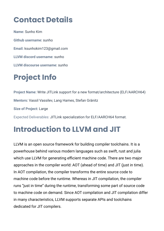### **Contact Details**

**Name:** Sunho Kim **Github username:** sunho **Email:** ksunhokim123@gmail.com **LLVM discord username:** sunho **LLVM discourse username:** sunho

# **Project Info**

**Project Name:** Write JITLink support for a new format/architecture (ELF/AARCH64) **Mentors:** Vassil Vassilev, Lang Hames, Stefan Gränitz **Size of Project:** Large Expected Deliverables: JITLink specialization for ELF/AARCH64 format.

#### **Introduction to LLVM and JIT**

LLVM is an open source framework for building compiler toolchains. It is a powerhouse behind various modern languages such as swift, rust and julia which use LLVM for generating efficient machine code. There are two major approaches in the compiler world: AOT (ahead of time) and JIT (just in time). In AOT compilation, the compiler transforms the entire source code to machine code before the runtime. Whereas in JIT compilation, the compiler runs "just in time" during the runtime, transforming some part of source code to machine code on demand. Since AOT compilation and JIT compilation differ in many characteristics, LLVM supports separate APIs and toolchains dedicated for JIT compilers.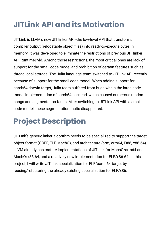# **JITLink API and its Motivation**

JITLink is LLVM's new JIT linker API--the low-level API that transforms compiler output (relocatable object files) into ready-to-execute bytes in memory. It was developed to eliminate the restrictions of previous JIT linker API RuntimeDyld. Among those restrictions, the most critical ones are lack of support for the small code model and prohibition of certain features such as thread local storage. The Julia language team switched to JITLink API recently because of support for the small code model. When adding support for aarch64-darwin target, Julia team suffered from bugs within the large code model implementation of aarch64 backend, which caused numerous random hangs and segmentation faults. After switching to JITLink API with a small code model, these segmentation faults disappeared.

# **Project Description**

JITLink's generic linker algorithm needs to be specialized to support the target object format (COFF, ELF, MachO), and architecture (arm, arm64, i386, x86-64). LLVM already has mature implementations of JITLink for MachO/arm64 and MachO/x86-64, and a relatively new implementation for ELF/x86-64. In this project, I will write JITLink specialization for ELF/aarch64 target by reusing/refactoring the already existing specialization for ELF/x86.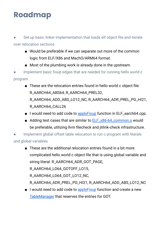## **Roadmap**

- Set up basic linker implementation that loads elf object file and iterate over relocation sections
	- Would be preferable if we can separate out more of the common logic from ELF/X86 and MachO/ARM64 format.
	- Most of the plumbing work is already done in the upstream.
- Implement basic fixup edges that are needed for running hello world c program
	- These are the relocation entries found in hello world c object file: R\_AARCH64\_ABS64, R\_AARCH64\_PREL32, R\_AARCH64\_ADD\_ABS\_LO12\_NC, R\_AARCH64\_ADR\_PREL\_PG\_HI21, R\_AARCH64\_CALL26
	- I would need to add code to [applyFixup](https://github.com/llvm/llvm-project/blob/281b7eeb149d236dd4f2c1ab976cce361de4e057/llvm/lib/ExecutionEngine/JITLink/ELF_aarch64.cpp#L47) function in ELF\_aarch64.cpp.
	- Adding test cases that are similar to [ELF\\_x86-64\\_common.s](https://github.com/llvm/llvm-project/blob/281b7eeb149d236dd4f2c1ab976cce361de4e057/llvm/test/ExecutionEngine/JITLink/X86/ELF_x86-64_common.s#L1) would be preferable, utilizing llvm filecheck and jitlink-check infrastructure.

Implement global offset table relocation to run c program with literals and global variables

■ These are the additional relocation entries found in a bit more complicated hello world c object file that is using global variable and string literal: R\_AARCH64\_ADR\_GOT\_PAGE,

R\_AARCH64\_LD64\_GOTOFF\_LO15,

R\_AARCH64\_LD64\_GOT\_LO12\_NC,

R\_AARCH64\_ADR\_PREL\_PG\_HI21, R\_AARCH64\_ADD\_ABS\_LO12\_NC

■ I would need to add code to apply Fixup function and create a new [TableManager](https://github.com/llvm/llvm-project/blob/09c2b7c35af8c4bad39f03e9f60df8bd07323028/llvm/include/llvm/ExecutionEngine/JITLink/TableManager.h) that reserves the entries for GOT.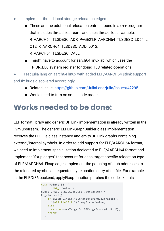- Implement thread local storage relocation edges
	- These are the additional relocation entries found in a  $c++$  program that includes thread, iostream, and uses thread\_local variable: R\_AARCH64\_TLSDESC\_ADR\_PAGE21,R\_AARCH64\_TLSDESC\_LD64\_L O12, R\_AARCH64\_TLSDESC\_ADD\_LO12, R\_AARCH64\_TLSDESC\_CALL
	- I might have to account for aarch64 linux abi which uses the TPIDR\_EL0 system register for doing TLS related operations.

Test julia lang on aarch64 linux with added ELF/AARCH64 jitlink support and fix bugs discovered accordingly

- Related issue: <https://github.com/JuliaLang/julia/issues/42295>
- Would need to turn on small code model

#### **Works needed to be done:**

ELF format library and generic JITLink implementation is already written in the llvm upstream. The generic ELFLinkGraphBuilder class implementation receives the ELFFile class instance and emits JITLink graphs containing external/internal symbols. In order to add support for ELF/AARCH64 format, we need to implement specialization dedicated to ELF/AARCH64 format and implement "fixup edges" that account for each target specific relocation type of ELF/AARCH64. Fixup edges implement the patching of stub addresses to the relocated symbol as requested by relocation entry of elf file. For example, in the ELF/X86 backend, applyFixup function patches the code like this:

```
case Pointer32: {
   uint64 t Value =
E.getTarget().getAddress().getValue() +
E.getAddend();
    if (LLVM LIKELY(isInRangeForImmU32(Value)))
      *(ulittle32 t *)FixupPtr = Value;
   else
     return makeTargetOutOfRangeError(G. B. E);
   break;
  \}
```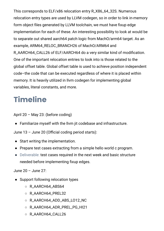This corresponds to ELF/x86 relocation entry R\_X86\_64\_32S. Numerous relocation entry types are used by LLVM codegen, so in order to link in-memory form object files generated by LLVM toolchain, we must have fixup edge implementation for each of these. An interesting possibility to look at would be to separate out shared aarch64 patch logic from MachO/arm64 target. As an example, ARM64\_RELOC\_BRANCH26 of MachO/ARM64 and R\_AARCH64\_CALL26 of ELF/AARCH64 do a very similar kind of modification. One of the important relocation entries to look into is those related to the global offset table. Global offset table is used to achieve position independent code–the code that can be executed regardless of where it is placed within memory. It is heavily utilized in llvm codegen for implementing global variables, literal constants, and more.

#### **Timeline**

April 20 – May 23: (before coding)

● Familiarize myself with the llvm jit codebase and infrastructure.

June 13 – June 20 (Official coding period starts):

- Start writing the implementation.
- Prepare test cases extracting from a simple hello world c program.
- Deliverable: test cases required in the next week and basic structure needed before implementing fixup edges.

June 20 – June 27:

- Support following relocation types
	- R\_AARCH64\_ABS64
	- R\_AARCH64\_PREL32
	- R\_AARCH64\_ADD\_ABS\_LO12\_NC
	- R\_AARCH64\_ADR\_PREL\_PG\_HI21
	- R\_AARCH64\_CALL26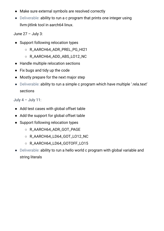- Make sure external symbols are resolved correctly
- Deliverable: ability to run a c program that prints one integer using llvm-jitlink tool in aarch64 linux.

June 27 – July 3:

- Support following relocation types
	- R\_AARCH64\_ADR\_PREL\_PG\_HI21
	- R\_AARCH64\_ADD\_ABS\_LO12\_NC
- Handle multiple relocation sections
- Fix bugs and tidy up the code
- Mostly prepare for the next major step
- Deliverable: ability to run a simple c program which have multiple '.rela.text' sections

July  $4 -$  July 11:

- Add test cases with global offset table
- Add the support for global offset table
- Support following relocation types
	- R\_AARCH64\_ADR\_GOT\_PAGE
	- R\_AARCH64\_LD64\_GOT\_LO12\_NC
	- R\_AARCH64\_LD64\_GOTOFF\_LO15
- Deliverable: ability to run a hello world c program with global variable and string literals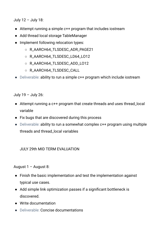July 12 – July 18:

- Attempt running a simple c++ program that includes iostream
- Add thread local storage TableManager
- Implement following relocation types:
	- R\_AARCH64\_TLSDESC\_ADR\_PAGE21
	- R\_AARCH64\_TLSDESC\_LD64\_LO12
	- R\_AARCH64\_TLSDESC\_ADD\_LO12
	- R\_AARCH64\_TLSDESC\_CALL
- Deliverable: ability to run a simple c++ program which include iostream

July 19 – July 26:

- Attempt running a c++ program that create threads and uses thread\_local variable
- Fix bugs that are discovered during this process
- Deliverable: ability to run a somewhat complex c++ program using multiple threads and thread\_local variables

JULY 29th MID TERM EVALUATION

August 1 – August 8:

- Finish the basic implementation and test the implementation against typical use cases.
- Add simple link optimization passes if a significant bottleneck is discovered.
- Write documentation
- Deliverable: Concise documentations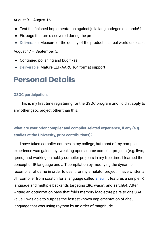August 9 – August 16:

- Test the finished implementation against julia lang codegen on aarch64
- Fix bugs that are discovered during the process
- Deliverable: Measure of the quality of the product in a real world use cases

August 17 – September 5:

- Continued polishing and bug fixes.
- Deliverable: Mature ELF/AARCH64 format support

#### **Personal Details**

#### **GSOC participation:**

This is my first time registering for the GSOC program and I didn't apply to any other gsoc project other than this.

**What are your prior compiler and compiler-related experience, if any (e.g. studies at the University, prior contributions)?**

I have taken compiler courses in my college, but most of my compiler experience was gained by tweaking open source compiler projects (e.g. llvm, qemu) and working on hobby compiler projects in my free time. I learned the concept of IR language and JIT compilation by modifying the dynamic recompiler of qemu in order to use it for my emulator project. I have written a JIT compiler from scratch for a language called [aheui](https://aheui.readthedocs.io/en/latest/specs.en.html). It features a simple IR language and multiple backends targeting x86, wasm, and aarch64. After writing an optimization pass that folds memory load-store pairs to one SSA value, I was able to surpass the fastest known implementation of aheui language that was using rpython by an order of magnitude.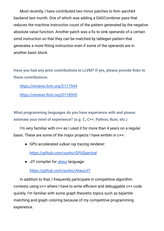Most recently, I have contributed two minor patches to llvm aarch64 backend last month. One of which was adding a DAGCombiner pass that reduces the machine instruction count of the pattern generated by the negative absolute value function. Another patch was a fix to sink operands of a certain simd instruction so that they can be matched by tablegen pattern that generates a more fitting instruction even if some of the operands are in another basic block.

**Have you had any prior contributions to LLVM? If yes, please provide links to these contributions.**

<https://reviews.llvm.org/D117944>

<https://reviews.llvm.org/D118595>

**What programming languages do you have experience with and please estimate your level of experience? (e.g. C, C++, Python, Rust, etc.)**

I'm very familiar with c++ as I used it for more than 4 years on a regular basis. These are some of the major projects I have written in c++:

● GPU accelerated vulkan ray tracing renderer:

<https://github.com/sunho/GPUSpectral>

• JIT compiler for [aheui](https://aheui.readthedocs.io/en/latest/specs.en.html) language:

<https://github.com/sunho/AheuiJIT>

In addition to that, I frequently participate in competitive algorithm contests using c++ where I have to write efficient and debuggable c++ code quickly. I'm familiar with some graph theoretic topics such as bipartite matching and graph coloring because of my competitive programming experience.